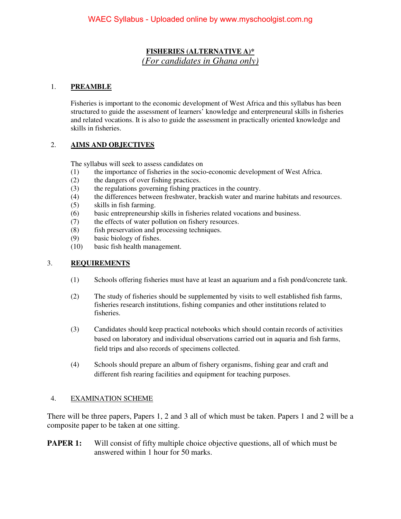### **FISHERIES (ALTERNATIVE A)\***  *(For candidates in Ghana only)*

### 1. **PREAMBLE**

Fisheries is important to the economic development of West Africa and this syllabus has been structured to guide the assessment of learners' knowledge and enterpreneural skills in fisheries and related vocations. It is also to guide the assessment in practically oriented knowledge and skills in fisheries.

### 2. **AIMS AND OBJECTIVES**

The syllabus will seek to assess candidates on

- (1) the importance of fisheries in the socio-economic development of West Africa.
- (2) the dangers of over fishing practices.
- (3) the regulations governing fishing practices in the country.
- (4) the differences between freshwater, brackish water and marine habitats and resources.
- (5) skills in fish farming.
- (6) basic entrepreneurship skills in fisheries related vocations and business.
- (7) the effects of water pollution on fishery resources.
- (8) fish preservation and processing techniques.
- (9) basic biology of fishes.
- (10) basic fish health management.

### 3. **REQUIREMENTS**

- (1) Schools offering fisheries must have at least an aquarium and a fish pond/concrete tank.
- (2) The study of fisheries should be supplemented by visits to well established fish farms, fisheries research institutions, fishing companies and other institutions related to fisheries.
- (3) Candidates should keep practical notebooks which should contain records of activities based on laboratory and individual observations carried out in aquaria and fish farms, field trips and also records of specimens collected.
- (4) Schools should prepare an album of fishery organisms, fishing gear and craft and different fish rearing facilities and equipment for teaching purposes.

### 4. EXAMINATION SCHEME

There will be three papers, Papers 1, 2 and 3 all of which must be taken. Papers 1 and 2 will be a composite paper to be taken at one sitting.

**PAPER 1:** Will consist of fifty multiple choice objective questions, all of which must be answered within 1 hour for 50 marks.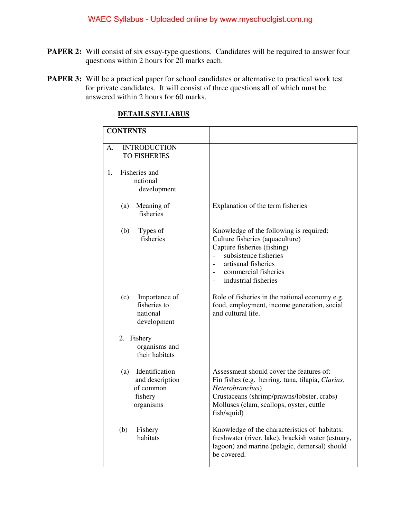- **PAPER 2:** Will consist of six essay-type questions. Candidates will be required to answer four questions within 2 hours for 20 marks each.
- **PAPER 3:** Will be a practical paper for school candidates or alternative to practical work test for private candidates. It will consist of three questions all of which must be answered within 2 hours for 60 marks.

|    | <b>CONTENTS</b>                                                               |                                                                                                                                                                                                                                                                          |
|----|-------------------------------------------------------------------------------|--------------------------------------------------------------------------------------------------------------------------------------------------------------------------------------------------------------------------------------------------------------------------|
| A. | <b>INTRODUCTION</b><br><b>TO FISHERIES</b>                                    |                                                                                                                                                                                                                                                                          |
| 1. | Fisheries and<br>national<br>development                                      |                                                                                                                                                                                                                                                                          |
|    | Meaning of<br>(a)<br>fisheries                                                | Explanation of the term fisheries                                                                                                                                                                                                                                        |
|    | (b)<br>Types of<br>fisheries                                                  | Knowledge of the following is required:<br>Culture fisheries (aquaculture)<br>Capture fisheries (fishing)<br>subsistence fisheries<br>$\overline{a}$<br>artisanal fisheries<br>$\overline{\phantom{a}}$<br>commercial fisheries<br>$\frac{1}{2}$<br>industrial fisheries |
|    | (c)<br>Importance of<br>fisheries to<br>national<br>development               | Role of fisheries in the national economy e.g.<br>food, employment, income generation, social<br>and cultural life.                                                                                                                                                      |
|    | 2. Fishery<br>organisms and<br>their habitats                                 |                                                                                                                                                                                                                                                                          |
|    | Identification<br>(a)<br>and description<br>of common<br>fishery<br>organisms | Assessment should cover the features of:<br>Fin fishes (e.g. herring, tuna, tilapia, Clarias,<br>Heterobranchus)<br>Crustaceans (shrimp/prawns/lobster, crabs)<br>Molluscs (clam, scallops, oyster, cuttle<br>fish/squid)                                                |
|    | (b)<br>Fishery<br>habitats                                                    | Knowledge of the characteristics of habitats:<br>freshwater (river, lake), brackish water (estuary,<br>lagoon) and marine (pelagic, demersal) should<br>be covered.                                                                                                      |

### **DETAILS SYLLABUS**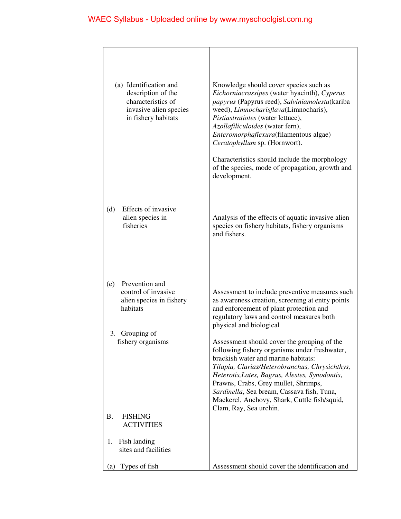| (a) Identification and<br>description of the<br>characteristics of<br>invasive alien species<br>in fishery habitats | Knowledge should cover species such as<br>Eichorniacrassipes (water hyacinth), Cyperus<br>papyrus (Papyrus reed), Salviniamolesta (kariba<br>weed), Limnocharisflava(Limnocharis),<br>Pistiastratiotes (water lettuce),<br>Azollafiliculoides (water fern),<br>Enteromorphaflexura(filamentous algae)<br>Ceratophyllum sp. (Hornwort).<br>Characteristics should include the morphology<br>of the species, mode of propagation, growth and<br>development. |
|---------------------------------------------------------------------------------------------------------------------|------------------------------------------------------------------------------------------------------------------------------------------------------------------------------------------------------------------------------------------------------------------------------------------------------------------------------------------------------------------------------------------------------------------------------------------------------------|
| Effects of invasive<br>(d)<br>alien species in<br>fisheries                                                         | Analysis of the effects of aquatic invasive alien<br>species on fishery habitats, fishery organisms<br>and fishers.                                                                                                                                                                                                                                                                                                                                        |
| Prevention and<br>(e)<br>control of invasive<br>alien species in fishery<br>habitats<br>3. Grouping of              | Assessment to include preventive measures such<br>as awareness creation, screening at entry points<br>and enforcement of plant protection and<br>regulatory laws and control measures both<br>physical and biological                                                                                                                                                                                                                                      |
| fishery organisms                                                                                                   | Assessment should cover the grouping of the<br>following fishery organisms under freshwater,<br>brackish water and marine habitats:<br>Tilapia, Clarias/Heterobranchus, Chrysichthys,<br>Heterotis, Lates, Bagrus, Alestes, Synodontis,<br>Prawns, Crabs, Grey mullet, Shrimps,<br>Sardinella, Sea bream, Cassava fish, Tuna,<br>Mackerel, Anchovy, Shark, Cuttle fish/squid,                                                                              |
| <b>B.</b><br><b>FISHING</b><br><b>ACTIVITIES</b>                                                                    | Clam, Ray, Sea urchin.                                                                                                                                                                                                                                                                                                                                                                                                                                     |
| Fish landing<br>1.<br>sites and facilities                                                                          |                                                                                                                                                                                                                                                                                                                                                                                                                                                            |
| Types of fish<br>(a)                                                                                                | Assessment should cover the identification and                                                                                                                                                                                                                                                                                                                                                                                                             |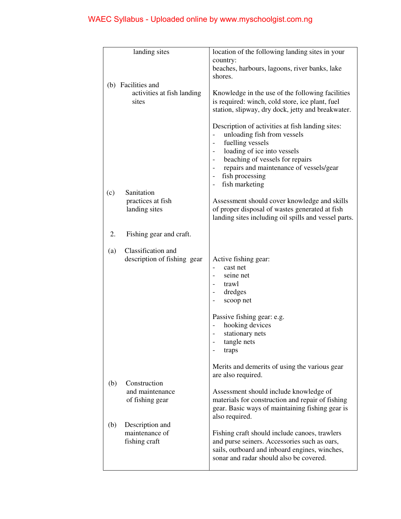| landing sites                                             | location of the following landing sites in your                                                                                                                                                                                                       |
|-----------------------------------------------------------|-------------------------------------------------------------------------------------------------------------------------------------------------------------------------------------------------------------------------------------------------------|
|                                                           | country:<br>beaches, harbours, lagoons, river banks, lake<br>shores.                                                                                                                                                                                  |
| (b) Facilities and<br>activities at fish landing<br>sites | Knowledge in the use of the following facilities<br>is required: winch, cold store, ice plant, fuel<br>station, slipway, dry dock, jetty and breakwater.                                                                                              |
|                                                           | Description of activities at fish landing sites:<br>unloading fish from vessels<br>fuelling vessels<br>loading of ice into vessels<br>beaching of vessels for repairs<br>repairs and maintenance of vessels/gear<br>fish processing<br>fish marketing |
| Sanitation<br>(c)<br>practices at fish<br>landing sites   | Assessment should cover knowledge and skills<br>of proper disposal of wastes generated at fish<br>landing sites including oil spills and vessel parts.                                                                                                |
| 2.<br>Fishing gear and craft.                             |                                                                                                                                                                                                                                                       |
| Classification and<br>(a)<br>description of fishing gear  | Active fishing gear:<br>cast net<br>seine net<br>trawl<br>dredges<br>scoop net                                                                                                                                                                        |
|                                                           | Passive fishing gear: e.g.<br>hooking devices<br>stationary nets<br>tangle nets<br>traps                                                                                                                                                              |
|                                                           | Merits and demerits of using the various gear<br>are also required.                                                                                                                                                                                   |
| Construction<br>(b)<br>and maintenance<br>of fishing gear | Assessment should include knowledge of<br>materials for construction and repair of fishing<br>gear. Basic ways of maintaining fishing gear is<br>also required.                                                                                       |
| (b)<br>Description and<br>maintenance of<br>fishing craft | Fishing craft should include canoes, trawlers<br>and purse seiners. Accessories such as oars,<br>sails, outboard and inboard engines, winches,<br>sonar and radar should also be covered.                                                             |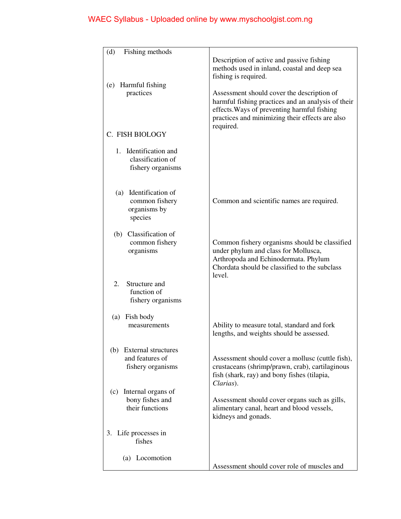| Fishing methods<br>(d)                                             |                                                                                                                                                                                                                 |
|--------------------------------------------------------------------|-----------------------------------------------------------------------------------------------------------------------------------------------------------------------------------------------------------------|
|                                                                    | Description of active and passive fishing<br>methods used in inland, coastal and deep sea<br>fishing is required.                                                                                               |
| (e) Harmful fishing<br>practices                                   | Assessment should cover the description of<br>harmful fishing practices and an analysis of their<br>effects. Ways of preventing harmful fishing<br>practices and minimizing their effects are also<br>required. |
| C. FISH BIOLOGY                                                    |                                                                                                                                                                                                                 |
| 1. Identification and<br>classification of<br>fishery organisms    |                                                                                                                                                                                                                 |
| (a) Identification of<br>common fishery<br>organisms by<br>species | Common and scientific names are required.                                                                                                                                                                       |
| (b) Classification of<br>common fishery<br>organisms               | Common fishery organisms should be classified<br>under phylum and class for Mollusca,<br>Arthropoda and Echinodermata. Phylum<br>Chordata should be classified to the subclass<br>level.                        |
| Structure and<br>2.<br>function of<br>fishery organisms            |                                                                                                                                                                                                                 |
| (a) Fish body<br>measurements                                      | Ability to measure total, standard and fork<br>lengths, and weights should be assessed.                                                                                                                         |
| (b) External structures<br>and features of<br>fishery organisms    | Assessment should cover a mollusc (cuttle fish),<br>crustaceans (shrimp/prawn, crab), cartilaginous<br>fish (shark, ray) and bony fishes (tilapia,<br>Clarias).                                                 |
| Internal organs of<br>(c)<br>bony fishes and<br>their functions    | Assessment should cover organs such as gills,<br>alimentary canal, heart and blood vessels,<br>kidneys and gonads.                                                                                              |
| 3. Life processes in<br>fishes                                     |                                                                                                                                                                                                                 |
| (a) Locomotion                                                     | Assessment should cover role of muscles and                                                                                                                                                                     |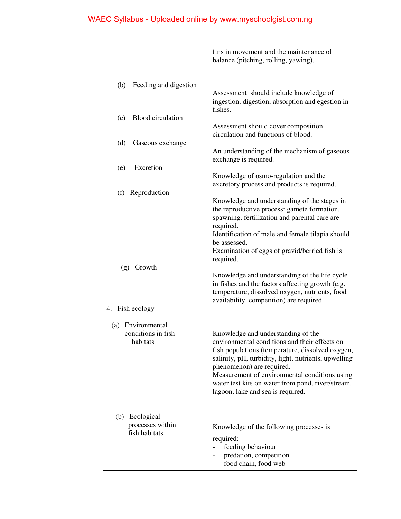|                                         | fins in movement and the maintenance of<br>balance (pitching, rolling, yawing).              |
|-----------------------------------------|----------------------------------------------------------------------------------------------|
|                                         |                                                                                              |
|                                         |                                                                                              |
| Feeding and digestion<br>(b)            | Assessment should include knowledge of                                                       |
|                                         | ingestion, digestion, absorption and egestion in                                             |
| <b>Blood</b> circulation                | fishes.                                                                                      |
| (c)                                     | Assessment should cover composition,                                                         |
|                                         | circulation and functions of blood.                                                          |
| (d)<br>Gaseous exchange                 |                                                                                              |
|                                         | An understanding of the mechanism of gaseous<br>exchange is required.                        |
| Excretion<br>(e)                        |                                                                                              |
|                                         | Knowledge of osmo-regulation and the                                                         |
| Reproduction<br>(f)                     | excretory process and products is required.                                                  |
|                                         | Knowledge and understanding of the stages in                                                 |
|                                         | the reproductive process: gamete formation,<br>spawning, fertilization and parental care are |
|                                         | required.                                                                                    |
|                                         | Identification of male and female tilapia should                                             |
|                                         | be assessed.<br>Examination of eggs of gravid/berried fish is                                |
|                                         | required.                                                                                    |
| Growth<br>(g)                           | Knowledge and understanding of the life cycle                                                |
|                                         | in fishes and the factors affecting growth (e.g.                                             |
|                                         | temperature, dissolved oxygen, nutrients, food                                               |
| 4. Fish ecology                         | availability, competition) are required.                                                     |
|                                         |                                                                                              |
| (a) Environmental<br>conditions in fish |                                                                                              |
| habitats                                | Knowledge and understanding of the<br>environmental conditions and their effects on          |
|                                         | fish populations (temperature, dissolved oxygen,                                             |
|                                         | salinity, pH, turbidity, light, nutrients, upwelling<br>phenomenon) are required.            |
|                                         | Measurement of environmental conditions using                                                |
|                                         | water test kits on water from pond, river/stream,                                            |
|                                         | lagoon, lake and sea is required.                                                            |
|                                         |                                                                                              |
| Ecological<br>(b)<br>processes within   |                                                                                              |
| fish habitats                           | Knowledge of the following processes is                                                      |
|                                         | required:<br>feeding behaviour                                                               |
|                                         | predation, competition                                                                       |
|                                         | food chain, food web                                                                         |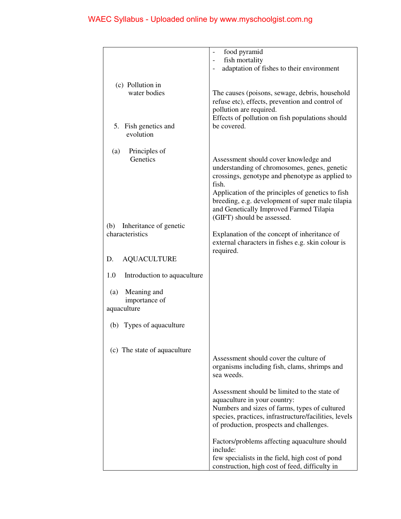|                                                    | food pyramid                                                                                                                                                                                                                                                                                                                        |
|----------------------------------------------------|-------------------------------------------------------------------------------------------------------------------------------------------------------------------------------------------------------------------------------------------------------------------------------------------------------------------------------------|
|                                                    | fish mortality<br>$\overline{a}$<br>adaptation of fishes to their environment                                                                                                                                                                                                                                                       |
|                                                    |                                                                                                                                                                                                                                                                                                                                     |
| (c) Pollution in<br>water bodies                   | The causes (poisons, sewage, debris, household<br>refuse etc), effects, prevention and control of<br>pollution are required.<br>Effects of pollution on fish populations should                                                                                                                                                     |
| 5. Fish genetics and<br>evolution                  | be covered.                                                                                                                                                                                                                                                                                                                         |
| (a)<br>Principles of<br>Genetics                   | Assessment should cover knowledge and<br>understanding of chromosomes, genes, genetic<br>crossings, genotype and phenotype as applied to<br>fish.<br>Application of the principles of genetics to fish<br>breeding, e.g. development of super male tilapia<br>and Genetically Improved Farmed Tilapia<br>(GIFT) should be assessed. |
| Inheritance of genetic<br>(b)<br>characteristics   | Explanation of the concept of inheritance of<br>external characters in fishes e.g. skin colour is<br>required.                                                                                                                                                                                                                      |
| <b>AQUACULTURE</b><br>D.                           |                                                                                                                                                                                                                                                                                                                                     |
| 1.0<br>Introduction to aquaculture                 |                                                                                                                                                                                                                                                                                                                                     |
| Meaning and<br>(a)<br>importance of<br>aquaculture |                                                                                                                                                                                                                                                                                                                                     |
| (b) Types of aquaculture                           |                                                                                                                                                                                                                                                                                                                                     |
| (c) The state of aquaculture                       | Assessment should cover the culture of<br>organisms including fish, clams, shrimps and<br>sea weeds.                                                                                                                                                                                                                                |
|                                                    | Assessment should be limited to the state of<br>aquaculture in your country:<br>Numbers and sizes of farms, types of cultured<br>species, practices, infrastructure/facilities, levels<br>of production, prospects and challenges.                                                                                                  |
|                                                    | Factors/problems affecting aquaculture should<br>include:<br>few specialists in the field, high cost of pond<br>construction, high cost of feed, difficulty in                                                                                                                                                                      |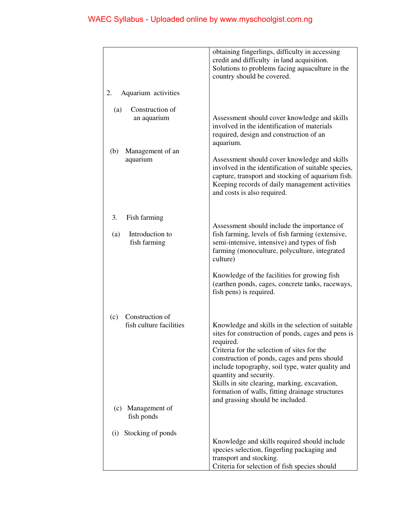|                                                                           | obtaining fingerlings, difficulty in accessing<br>credit and difficulty in land acquisition.<br>Solutions to problems facing aquaculture in the<br>country should be covered.                                                                                                                                                                                                                                                             |
|---------------------------------------------------------------------------|-------------------------------------------------------------------------------------------------------------------------------------------------------------------------------------------------------------------------------------------------------------------------------------------------------------------------------------------------------------------------------------------------------------------------------------------|
| Aquarium activities<br>2.                                                 |                                                                                                                                                                                                                                                                                                                                                                                                                                           |
| Construction of<br>(a)<br>an aquarium                                     | Assessment should cover knowledge and skills<br>involved in the identification of materials<br>required, design and construction of an<br>aquarium.                                                                                                                                                                                                                                                                                       |
| Management of an<br>(b)<br>aquarium                                       | Assessment should cover knowledge and skills<br>involved in the identification of suitable species,<br>capture, transport and stocking of aquarium fish.<br>Keeping records of daily management activities<br>and costs is also required.                                                                                                                                                                                                 |
| 3.<br>Fish farming<br>Introduction to<br>(a)<br>fish farming              | Assessment should include the importance of<br>fish farming, levels of fish farming (extensive,<br>semi-intensive, intensive) and types of fish<br>farming (monoculture, polyculture, integrated<br>culture)                                                                                                                                                                                                                              |
|                                                                           | Knowledge of the facilities for growing fish<br>(earthen ponds, cages, concrete tanks, raceways,<br>fish pens) is required.                                                                                                                                                                                                                                                                                                               |
| Construction of<br>(c)<br>fish culture facilities<br>Management of<br>(c) | Knowledge and skills in the selection of suitable<br>sites for construction of ponds, cages and pens is<br>required.<br>Criteria for the selection of sites for the<br>construction of ponds, cages and pens should<br>include topography, soil type, water quality and<br>quantity and security.<br>Skills in site clearing, marking, excavation,<br>formation of walls, fitting drainage structures<br>and grassing should be included. |
| fish ponds                                                                |                                                                                                                                                                                                                                                                                                                                                                                                                                           |
| Stocking of ponds<br>(i)                                                  | Knowledge and skills required should include<br>species selection, fingerling packaging and<br>transport and stocking.<br>Criteria for selection of fish species should                                                                                                                                                                                                                                                                   |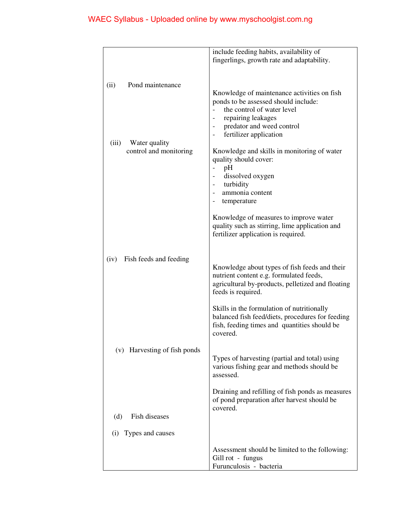| fingerlings, growth rate and adaptability.<br>Pond maintenance<br>(ii)<br>Knowledge of maintenance activities on fish<br>ponds to be assessed should include:<br>the control of water level<br>repairing leakages<br>predator and weed control<br>fertilizer application<br>(iii)<br>Water quality<br>control and monitoring<br>Knowledge and skills in monitoring of water<br>quality should cover:<br>pH<br>dissolved oxygen<br>turbidity<br>ammonia content<br>temperature<br>Knowledge of measures to improve water<br>quality such as stirring, lime application and<br>fertilizer application is required.<br>Fish feeds and feeding<br>(iv)<br>Knowledge about types of fish feeds and their<br>nutrient content e.g. formulated feeds,<br>agricultural by-products, pelletized and floating<br>feeds is required.<br>Skills in the formulation of nutritionally<br>balanced fish feed/diets, procedures for feeding<br>fish, feeding times and quantities should be<br>covered.<br>(v) Harvesting of fish ponds<br>Types of harvesting (partial and total) using<br>various fishing gear and methods should be<br>assessed.<br>Draining and refilling of fish ponds as measures<br>of pond preparation after harvest should be<br>covered.<br>Fish diseases<br>(d)<br>Types and causes<br>(i)<br>Assessment should be limited to the following:<br>Gill rot - fungus | include feeding habits, availability of |
|------------------------------------------------------------------------------------------------------------------------------------------------------------------------------------------------------------------------------------------------------------------------------------------------------------------------------------------------------------------------------------------------------------------------------------------------------------------------------------------------------------------------------------------------------------------------------------------------------------------------------------------------------------------------------------------------------------------------------------------------------------------------------------------------------------------------------------------------------------------------------------------------------------------------------------------------------------------------------------------------------------------------------------------------------------------------------------------------------------------------------------------------------------------------------------------------------------------------------------------------------------------------------------------------------------------------------------------------------------------------------|-----------------------------------------|
|                                                                                                                                                                                                                                                                                                                                                                                                                                                                                                                                                                                                                                                                                                                                                                                                                                                                                                                                                                                                                                                                                                                                                                                                                                                                                                                                                                              |                                         |
|                                                                                                                                                                                                                                                                                                                                                                                                                                                                                                                                                                                                                                                                                                                                                                                                                                                                                                                                                                                                                                                                                                                                                                                                                                                                                                                                                                              |                                         |
|                                                                                                                                                                                                                                                                                                                                                                                                                                                                                                                                                                                                                                                                                                                                                                                                                                                                                                                                                                                                                                                                                                                                                                                                                                                                                                                                                                              |                                         |
|                                                                                                                                                                                                                                                                                                                                                                                                                                                                                                                                                                                                                                                                                                                                                                                                                                                                                                                                                                                                                                                                                                                                                                                                                                                                                                                                                                              |                                         |
|                                                                                                                                                                                                                                                                                                                                                                                                                                                                                                                                                                                                                                                                                                                                                                                                                                                                                                                                                                                                                                                                                                                                                                                                                                                                                                                                                                              |                                         |
|                                                                                                                                                                                                                                                                                                                                                                                                                                                                                                                                                                                                                                                                                                                                                                                                                                                                                                                                                                                                                                                                                                                                                                                                                                                                                                                                                                              |                                         |
|                                                                                                                                                                                                                                                                                                                                                                                                                                                                                                                                                                                                                                                                                                                                                                                                                                                                                                                                                                                                                                                                                                                                                                                                                                                                                                                                                                              |                                         |
|                                                                                                                                                                                                                                                                                                                                                                                                                                                                                                                                                                                                                                                                                                                                                                                                                                                                                                                                                                                                                                                                                                                                                                                                                                                                                                                                                                              |                                         |
|                                                                                                                                                                                                                                                                                                                                                                                                                                                                                                                                                                                                                                                                                                                                                                                                                                                                                                                                                                                                                                                                                                                                                                                                                                                                                                                                                                              |                                         |
|                                                                                                                                                                                                                                                                                                                                                                                                                                                                                                                                                                                                                                                                                                                                                                                                                                                                                                                                                                                                                                                                                                                                                                                                                                                                                                                                                                              |                                         |
|                                                                                                                                                                                                                                                                                                                                                                                                                                                                                                                                                                                                                                                                                                                                                                                                                                                                                                                                                                                                                                                                                                                                                                                                                                                                                                                                                                              |                                         |
|                                                                                                                                                                                                                                                                                                                                                                                                                                                                                                                                                                                                                                                                                                                                                                                                                                                                                                                                                                                                                                                                                                                                                                                                                                                                                                                                                                              |                                         |
|                                                                                                                                                                                                                                                                                                                                                                                                                                                                                                                                                                                                                                                                                                                                                                                                                                                                                                                                                                                                                                                                                                                                                                                                                                                                                                                                                                              |                                         |
|                                                                                                                                                                                                                                                                                                                                                                                                                                                                                                                                                                                                                                                                                                                                                                                                                                                                                                                                                                                                                                                                                                                                                                                                                                                                                                                                                                              |                                         |
|                                                                                                                                                                                                                                                                                                                                                                                                                                                                                                                                                                                                                                                                                                                                                                                                                                                                                                                                                                                                                                                                                                                                                                                                                                                                                                                                                                              |                                         |
|                                                                                                                                                                                                                                                                                                                                                                                                                                                                                                                                                                                                                                                                                                                                                                                                                                                                                                                                                                                                                                                                                                                                                                                                                                                                                                                                                                              |                                         |
|                                                                                                                                                                                                                                                                                                                                                                                                                                                                                                                                                                                                                                                                                                                                                                                                                                                                                                                                                                                                                                                                                                                                                                                                                                                                                                                                                                              |                                         |
|                                                                                                                                                                                                                                                                                                                                                                                                                                                                                                                                                                                                                                                                                                                                                                                                                                                                                                                                                                                                                                                                                                                                                                                                                                                                                                                                                                              |                                         |
|                                                                                                                                                                                                                                                                                                                                                                                                                                                                                                                                                                                                                                                                                                                                                                                                                                                                                                                                                                                                                                                                                                                                                                                                                                                                                                                                                                              |                                         |
|                                                                                                                                                                                                                                                                                                                                                                                                                                                                                                                                                                                                                                                                                                                                                                                                                                                                                                                                                                                                                                                                                                                                                                                                                                                                                                                                                                              |                                         |
|                                                                                                                                                                                                                                                                                                                                                                                                                                                                                                                                                                                                                                                                                                                                                                                                                                                                                                                                                                                                                                                                                                                                                                                                                                                                                                                                                                              |                                         |
|                                                                                                                                                                                                                                                                                                                                                                                                                                                                                                                                                                                                                                                                                                                                                                                                                                                                                                                                                                                                                                                                                                                                                                                                                                                                                                                                                                              |                                         |
|                                                                                                                                                                                                                                                                                                                                                                                                                                                                                                                                                                                                                                                                                                                                                                                                                                                                                                                                                                                                                                                                                                                                                                                                                                                                                                                                                                              |                                         |
|                                                                                                                                                                                                                                                                                                                                                                                                                                                                                                                                                                                                                                                                                                                                                                                                                                                                                                                                                                                                                                                                                                                                                                                                                                                                                                                                                                              |                                         |
|                                                                                                                                                                                                                                                                                                                                                                                                                                                                                                                                                                                                                                                                                                                                                                                                                                                                                                                                                                                                                                                                                                                                                                                                                                                                                                                                                                              |                                         |
|                                                                                                                                                                                                                                                                                                                                                                                                                                                                                                                                                                                                                                                                                                                                                                                                                                                                                                                                                                                                                                                                                                                                                                                                                                                                                                                                                                              |                                         |
|                                                                                                                                                                                                                                                                                                                                                                                                                                                                                                                                                                                                                                                                                                                                                                                                                                                                                                                                                                                                                                                                                                                                                                                                                                                                                                                                                                              |                                         |
|                                                                                                                                                                                                                                                                                                                                                                                                                                                                                                                                                                                                                                                                                                                                                                                                                                                                                                                                                                                                                                                                                                                                                                                                                                                                                                                                                                              |                                         |
|                                                                                                                                                                                                                                                                                                                                                                                                                                                                                                                                                                                                                                                                                                                                                                                                                                                                                                                                                                                                                                                                                                                                                                                                                                                                                                                                                                              |                                         |
|                                                                                                                                                                                                                                                                                                                                                                                                                                                                                                                                                                                                                                                                                                                                                                                                                                                                                                                                                                                                                                                                                                                                                                                                                                                                                                                                                                              |                                         |
|                                                                                                                                                                                                                                                                                                                                                                                                                                                                                                                                                                                                                                                                                                                                                                                                                                                                                                                                                                                                                                                                                                                                                                                                                                                                                                                                                                              |                                         |
|                                                                                                                                                                                                                                                                                                                                                                                                                                                                                                                                                                                                                                                                                                                                                                                                                                                                                                                                                                                                                                                                                                                                                                                                                                                                                                                                                                              |                                         |
|                                                                                                                                                                                                                                                                                                                                                                                                                                                                                                                                                                                                                                                                                                                                                                                                                                                                                                                                                                                                                                                                                                                                                                                                                                                                                                                                                                              |                                         |
|                                                                                                                                                                                                                                                                                                                                                                                                                                                                                                                                                                                                                                                                                                                                                                                                                                                                                                                                                                                                                                                                                                                                                                                                                                                                                                                                                                              |                                         |
|                                                                                                                                                                                                                                                                                                                                                                                                                                                                                                                                                                                                                                                                                                                                                                                                                                                                                                                                                                                                                                                                                                                                                                                                                                                                                                                                                                              |                                         |
|                                                                                                                                                                                                                                                                                                                                                                                                                                                                                                                                                                                                                                                                                                                                                                                                                                                                                                                                                                                                                                                                                                                                                                                                                                                                                                                                                                              |                                         |
|                                                                                                                                                                                                                                                                                                                                                                                                                                                                                                                                                                                                                                                                                                                                                                                                                                                                                                                                                                                                                                                                                                                                                                                                                                                                                                                                                                              |                                         |
|                                                                                                                                                                                                                                                                                                                                                                                                                                                                                                                                                                                                                                                                                                                                                                                                                                                                                                                                                                                                                                                                                                                                                                                                                                                                                                                                                                              |                                         |
|                                                                                                                                                                                                                                                                                                                                                                                                                                                                                                                                                                                                                                                                                                                                                                                                                                                                                                                                                                                                                                                                                                                                                                                                                                                                                                                                                                              |                                         |
|                                                                                                                                                                                                                                                                                                                                                                                                                                                                                                                                                                                                                                                                                                                                                                                                                                                                                                                                                                                                                                                                                                                                                                                                                                                                                                                                                                              |                                         |
|                                                                                                                                                                                                                                                                                                                                                                                                                                                                                                                                                                                                                                                                                                                                                                                                                                                                                                                                                                                                                                                                                                                                                                                                                                                                                                                                                                              |                                         |
|                                                                                                                                                                                                                                                                                                                                                                                                                                                                                                                                                                                                                                                                                                                                                                                                                                                                                                                                                                                                                                                                                                                                                                                                                                                                                                                                                                              |                                         |
|                                                                                                                                                                                                                                                                                                                                                                                                                                                                                                                                                                                                                                                                                                                                                                                                                                                                                                                                                                                                                                                                                                                                                                                                                                                                                                                                                                              |                                         |
|                                                                                                                                                                                                                                                                                                                                                                                                                                                                                                                                                                                                                                                                                                                                                                                                                                                                                                                                                                                                                                                                                                                                                                                                                                                                                                                                                                              |                                         |
|                                                                                                                                                                                                                                                                                                                                                                                                                                                                                                                                                                                                                                                                                                                                                                                                                                                                                                                                                                                                                                                                                                                                                                                                                                                                                                                                                                              |                                         |
|                                                                                                                                                                                                                                                                                                                                                                                                                                                                                                                                                                                                                                                                                                                                                                                                                                                                                                                                                                                                                                                                                                                                                                                                                                                                                                                                                                              |                                         |
|                                                                                                                                                                                                                                                                                                                                                                                                                                                                                                                                                                                                                                                                                                                                                                                                                                                                                                                                                                                                                                                                                                                                                                                                                                                                                                                                                                              |                                         |
|                                                                                                                                                                                                                                                                                                                                                                                                                                                                                                                                                                                                                                                                                                                                                                                                                                                                                                                                                                                                                                                                                                                                                                                                                                                                                                                                                                              |                                         |
|                                                                                                                                                                                                                                                                                                                                                                                                                                                                                                                                                                                                                                                                                                                                                                                                                                                                                                                                                                                                                                                                                                                                                                                                                                                                                                                                                                              | Furunculosis - bacteria                 |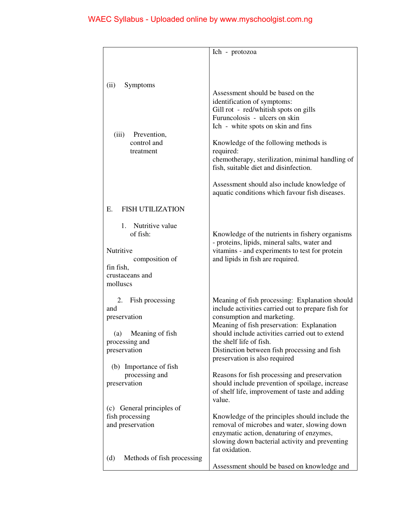|                                                                                                          | Ich - protozoa                                                                                                                                                                                                                                                                                                                                                                                                                       |
|----------------------------------------------------------------------------------------------------------|--------------------------------------------------------------------------------------------------------------------------------------------------------------------------------------------------------------------------------------------------------------------------------------------------------------------------------------------------------------------------------------------------------------------------------------|
|                                                                                                          |                                                                                                                                                                                                                                                                                                                                                                                                                                      |
| Symptoms<br>(ii)<br>Prevention,<br>(iii)<br>control and<br>treatment                                     | Assessment should be based on the<br>identification of symptoms:<br>Gill rot - red/whitish spots on gills<br>Furuncolosis - ulcers on skin<br>Ich - white spots on skin and fins<br>Knowledge of the following methods is<br>required:<br>chemotherapy, sterilization, minimal handling of<br>fish, suitable diet and disinfection.<br>Assessment should also include knowledge of<br>aquatic conditions which favour fish diseases. |
|                                                                                                          |                                                                                                                                                                                                                                                                                                                                                                                                                                      |
| <b>FISH UTILIZATION</b><br>E.                                                                            |                                                                                                                                                                                                                                                                                                                                                                                                                                      |
| Nutritive value<br>1.<br>of fish:<br>Nutritive<br>composition of<br>fin fish,<br>crustaceans and         | Knowledge of the nutrients in fishery organisms<br>- proteins, lipids, mineral salts, water and<br>vitamins - and experiments to test for protein<br>and lipids in fish are required.                                                                                                                                                                                                                                                |
| molluscs                                                                                                 |                                                                                                                                                                                                                                                                                                                                                                                                                                      |
| Fish processing<br>2.<br>and<br>preservation<br>Meaning of fish<br>(a)<br>processing and<br>preservation | Meaning of fish processing: Explanation should<br>include activities carried out to prepare fish for<br>consumption and marketing.<br>Meaning of fish preservation: Explanation<br>should include activities carried out to extend<br>the shelf life of fish.<br>Distinction between fish processing and fish<br>preservation is also required                                                                                       |
| (b) Importance of fish<br>processing and<br>preservation                                                 | Reasons for fish processing and preservation<br>should include prevention of spoilage, increase<br>of shelf life, improvement of taste and adding<br>value.                                                                                                                                                                                                                                                                          |
| (c) General principles of<br>fish processing<br>and preservation                                         | Knowledge of the principles should include the<br>removal of microbes and water, slowing down<br>enzymatic action, denaturing of enzymes,<br>slowing down bacterial activity and preventing<br>fat oxidation.                                                                                                                                                                                                                        |
| Methods of fish processing<br>(d)                                                                        | Assessment should be based on knowledge and                                                                                                                                                                                                                                                                                                                                                                                          |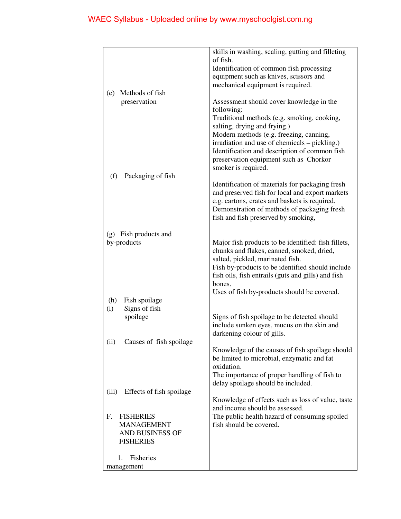|                                   | skills in washing, scaling, gutting and filleting                                  |
|-----------------------------------|------------------------------------------------------------------------------------|
|                                   | of fish.                                                                           |
|                                   | Identification of common fish processing                                           |
|                                   | equipment such as knives, scissors and                                             |
|                                   | mechanical equipment is required.                                                  |
| Methods of fish<br>(e)            |                                                                                    |
| preservation                      | Assessment should cover knowledge in the                                           |
|                                   | following:                                                                         |
|                                   | Traditional methods (e.g. smoking, cooking,                                        |
|                                   | salting, drying and frying.)                                                       |
|                                   | Modern methods (e.g. freezing, canning,                                            |
|                                   | irradiation and use of chemicals - pickling.)                                      |
|                                   | Identification and description of common fish                                      |
|                                   | preservation equipment such as Chorkor                                             |
|                                   | smoker is required.                                                                |
| Packaging of fish<br>(f)          |                                                                                    |
|                                   | Identification of materials for packaging fresh                                    |
|                                   | and preserved fish for local and export markets                                    |
|                                   | e.g. cartons, crates and baskets is required.                                      |
|                                   | Demonstration of methods of packaging fresh<br>fish and fish preserved by smoking, |
|                                   |                                                                                    |
| (g) Fish products and             |                                                                                    |
| by-products                       | Major fish products to be identified: fish fillets,                                |
|                                   | chunks and flakes, canned, smoked, dried,                                          |
|                                   | salted, pickled, marinated fish.                                                   |
|                                   | Fish by-products to be identified should include                                   |
|                                   | fish oils, fish entrails (guts and gills) and fish                                 |
|                                   | bones.                                                                             |
|                                   | Uses of fish by-products should be covered.                                        |
| (h)<br>Fish spoilage              |                                                                                    |
| Signs of fish<br>(i)              |                                                                                    |
| spoilage                          | Signs of fish spoilage to be detected should                                       |
|                                   | include sunken eyes, mucus on the skin and                                         |
|                                   | darkening colour of gills.                                                         |
| Causes of fish spoilage<br>(i)    |                                                                                    |
|                                   | Knowledge of the causes of fish spoilage should                                    |
|                                   | be limited to microbial, enzymatic and fat                                         |
|                                   | oxidation.                                                                         |
|                                   | The importance of proper handling of fish to                                       |
|                                   | delay spoilage should be included.                                                 |
| Effects of fish spoilage<br>(iii) |                                                                                    |
|                                   | Knowledge of effects such as loss of value, taste                                  |
|                                   | and income should be assessed.                                                     |
| F.<br><b>FISHERIES</b>            | The public health hazard of consuming spoiled                                      |
| <b>MANAGEMENT</b>                 | fish should be covered.                                                            |
| <b>AND BUSINESS OF</b>            |                                                                                    |
| <b>FISHERIES</b>                  |                                                                                    |
| Fisheries<br>$\mathbf{1}$ .       |                                                                                    |
|                                   |                                                                                    |
| management                        |                                                                                    |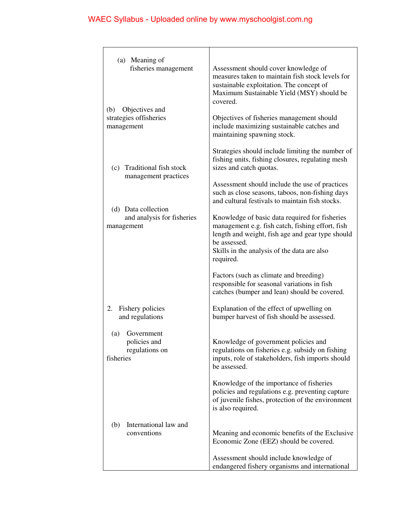| (a) Meaning of<br>fisheries management<br>Objectives and<br>(b)<br>strategies offisheries<br>management               | Assessment should cover knowledge of<br>measures taken to maintain fish stock levels for<br>sustainable exploitation. The concept of<br>Maximum Sustainable Yield (MSY) should be<br>covered.<br>Objectives of fisheries management should<br>include maximizing sustainable catches and<br>maintaining spawning stock.                                                                                                                                                                                                       |
|-----------------------------------------------------------------------------------------------------------------------|-------------------------------------------------------------------------------------------------------------------------------------------------------------------------------------------------------------------------------------------------------------------------------------------------------------------------------------------------------------------------------------------------------------------------------------------------------------------------------------------------------------------------------|
| (c) Traditional fish stock<br>management practices<br>(d) Data collection<br>and analysis for fisheries<br>management | Strategies should include limiting the number of<br>fishing units, fishing closures, regulating mesh<br>sizes and catch quotas.<br>Assessment should include the use of practices<br>such as close seasons, taboos, non-fishing days<br>and cultural festivals to maintain fish stocks.<br>Knowledge of basic data required for fisheries<br>management e.g. fish catch, fishing effort, fish<br>length and weight, fish age and gear type should<br>be assessed.<br>Skills in the analysis of the data are also<br>required. |
|                                                                                                                       | Factors (such as climate and breeding)<br>responsible for seasonal variations in fish<br>catches (bumper and lean) should be covered.                                                                                                                                                                                                                                                                                                                                                                                         |
| Fishery policies<br>2.<br>and regulations                                                                             | Explanation of the effect of upwelling on<br>bumper harvest of fish should be assessed.                                                                                                                                                                                                                                                                                                                                                                                                                                       |
| (a)<br>Government<br>policies and<br>regulations on<br>fisheries                                                      | Knowledge of government policies and<br>regulations on fisheries e.g. subsidy on fishing<br>inputs, role of stakeholders, fish imports should<br>be assessed.                                                                                                                                                                                                                                                                                                                                                                 |
|                                                                                                                       | Knowledge of the importance of fisheries<br>policies and regulations e.g. preventing capture<br>of juvenile fishes, protection of the environment<br>is also required.                                                                                                                                                                                                                                                                                                                                                        |
| International law and<br>(b)<br>conventions                                                                           | Meaning and economic benefits of the Exclusive<br>Economic Zone (EEZ) should be covered.                                                                                                                                                                                                                                                                                                                                                                                                                                      |
|                                                                                                                       | Assessment should include knowledge of<br>endangered fishery organisms and international                                                                                                                                                                                                                                                                                                                                                                                                                                      |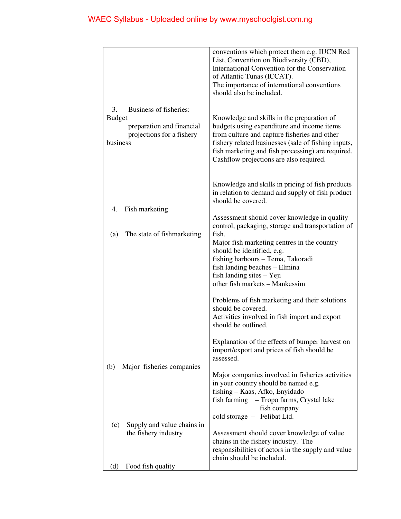|                                                                                                                     | conventions which protect them e.g. IUCN Red<br>List, Convention on Biodiversity (CBD),<br>International Convention for the Conservation<br>of Atlantic Tunas (ICCAT).<br>The importance of international conventions<br>should also be included.                                                                                                                                                                                                          |
|---------------------------------------------------------------------------------------------------------------------|------------------------------------------------------------------------------------------------------------------------------------------------------------------------------------------------------------------------------------------------------------------------------------------------------------------------------------------------------------------------------------------------------------------------------------------------------------|
| Business of fisheries:<br>3.<br><b>Budget</b><br>preparation and financial<br>projections for a fishery<br>business | Knowledge and skills in the preparation of<br>budgets using expenditure and income items<br>from culture and capture fisheries and other<br>fishery related businesses (sale of fishing inputs,<br>fish marketing and fish processing) are required.<br>Cashflow projections are also required.                                                                                                                                                            |
| Fish marketing<br>4.<br>(a)<br>The state of fishmarketing                                                           | Knowledge and skills in pricing of fish products<br>in relation to demand and supply of fish product<br>should be covered.<br>Assessment should cover knowledge in quality<br>control, packaging, storage and transportation of<br>fish.<br>Major fish marketing centres in the country<br>should be identified, e.g.<br>fishing harbours - Tema, Takoradi<br>fish landing beaches - Elmina<br>fish landing sites - Yeji<br>other fish markets - Mankessim |
|                                                                                                                     | Problems of fish marketing and their solutions<br>should be covered.<br>Activities involved in fish import and export<br>should be outlined.                                                                                                                                                                                                                                                                                                               |
| Major fisheries companies<br>(b)                                                                                    | Explanation of the effects of bumper harvest on<br>import/export and prices of fish should be<br>assessed.                                                                                                                                                                                                                                                                                                                                                 |
| Supply and value chains in<br>(c)                                                                                   | Major companies involved in fisheries activities<br>in your country should be named e.g.<br>fishing - Kaas, Afko, Enyidado<br>fish farming – Tropo farms, Crystal lake<br>fish company<br>cold storage - Felibat Ltd.                                                                                                                                                                                                                                      |
| the fishery industry<br>Food fish quality<br>(d)                                                                    | Assessment should cover knowledge of value<br>chains in the fishery industry. The<br>responsibilities of actors in the supply and value<br>chain should be included.                                                                                                                                                                                                                                                                                       |
|                                                                                                                     |                                                                                                                                                                                                                                                                                                                                                                                                                                                            |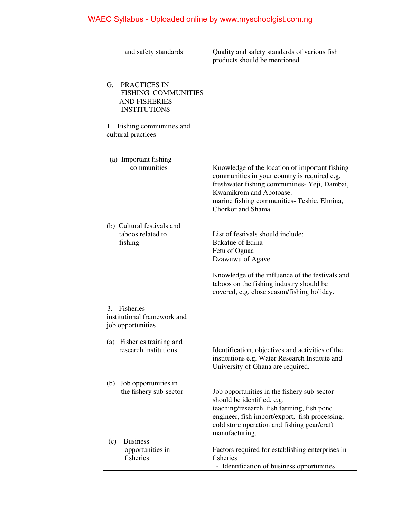| and safety standards                                                                            | Quality and safety standards of various fish                                                                                                                                                                                                    |
|-------------------------------------------------------------------------------------------------|-------------------------------------------------------------------------------------------------------------------------------------------------------------------------------------------------------------------------------------------------|
|                                                                                                 | products should be mentioned.                                                                                                                                                                                                                   |
|                                                                                                 |                                                                                                                                                                                                                                                 |
| G.<br>PRACTICES IN<br><b>FISHING COMMUNITIES</b><br><b>AND FISHERIES</b><br><b>INSTITUTIONS</b> |                                                                                                                                                                                                                                                 |
| 1. Fishing communities and<br>cultural practices                                                |                                                                                                                                                                                                                                                 |
| (a) Important fishing                                                                           |                                                                                                                                                                                                                                                 |
| communities                                                                                     | Knowledge of the location of important fishing<br>communities in your country is required e.g.<br>freshwater fishing communities- Yeji, Dambai,<br>Kwamikrom and Abotoase.<br>marine fishing communities- Teshie, Elmina,<br>Chorkor and Shama. |
| (b) Cultural festivals and                                                                      |                                                                                                                                                                                                                                                 |
| taboos related to                                                                               | List of festivals should include:                                                                                                                                                                                                               |
| fishing                                                                                         | <b>Bakatue of Edina</b>                                                                                                                                                                                                                         |
|                                                                                                 | Fetu of Oguaa<br>Dzawuwu of Agave                                                                                                                                                                                                               |
|                                                                                                 | Knowledge of the influence of the festivals and<br>taboos on the fishing industry should be<br>covered, e.g. close season/fishing holiday.                                                                                                      |
| Fisheries<br>3.<br>institutional framework and<br>job opportunities                             |                                                                                                                                                                                                                                                 |
| Fisheries training and<br>(a)                                                                   |                                                                                                                                                                                                                                                 |
| research institutions                                                                           | Identification, objectives and activities of the<br>institutions e.g. Water Research Institute and<br>University of Ghana are required.                                                                                                         |
| Job opportunities in<br>(b)                                                                     |                                                                                                                                                                                                                                                 |
| the fishery sub-sector                                                                          | Job opportunities in the fishery sub-sector                                                                                                                                                                                                     |
|                                                                                                 | should be identified, e.g.<br>teaching/research, fish farming, fish pond                                                                                                                                                                        |
|                                                                                                 | engineer, fish import/export, fish processing,                                                                                                                                                                                                  |
|                                                                                                 | cold store operation and fishing gear/craft<br>manufacturing.                                                                                                                                                                                   |
| <b>Business</b><br>(c)                                                                          |                                                                                                                                                                                                                                                 |
| opportunities in<br>fisheries                                                                   | Factors required for establishing enterprises in<br>fisheries                                                                                                                                                                                   |
|                                                                                                 | - Identification of business opportunities                                                                                                                                                                                                      |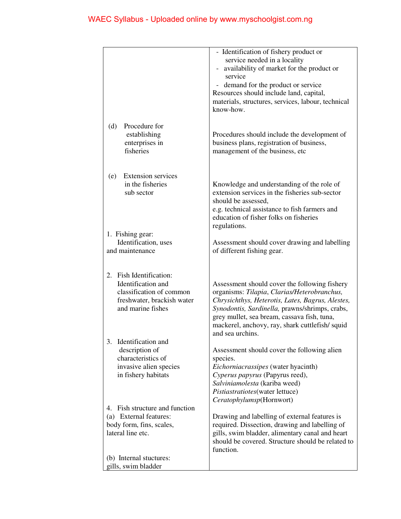|                                                                                                                                 | - Identification of fishery product or<br>service needed in a locality<br>- availability of market for the product or<br>service<br>- demand for the product or service<br>Resources should include land, capital,<br>materials, structures, services, labour, technical<br>know-how.                                   |
|---------------------------------------------------------------------------------------------------------------------------------|-------------------------------------------------------------------------------------------------------------------------------------------------------------------------------------------------------------------------------------------------------------------------------------------------------------------------|
| Procedure for<br>(d)<br>establishing<br>enterprises in<br>fisheries                                                             | Procedures should include the development of<br>business plans, registration of business,<br>management of the business, etc                                                                                                                                                                                            |
| <b>Extension services</b><br>(e)<br>in the fisheries<br>sub sector<br>1. Fishing gear:                                          | Knowledge and understanding of the role of<br>extension services in the fisheries sub-sector<br>should be assessed,<br>e.g. technical assistance to fish farmers and<br>education of fisher folks on fisheries<br>regulations.                                                                                          |
| Identification, uses<br>and maintenance                                                                                         | Assessment should cover drawing and labelling<br>of different fishing gear.                                                                                                                                                                                                                                             |
| Fish Identification:<br>2.<br>Identification and<br>classification of common<br>freshwater, brackish water<br>and marine fishes | Assessment should cover the following fishery<br>organisms: Tilapia, Clarias/Heterobranchus,<br>Chrysichthys, Heterotis, Lates, Bagrus, Alestes,<br>Synodontis, Sardinella, prawns/shrimps, crabs,<br>grey mullet, sea bream, cassava fish, tuna,<br>mackerel, anchovy, ray, shark cuttlefish/squid<br>and sea urchins. |
| Identification and<br>3.<br>description of<br>characteristics of<br>invasive alien species<br>in fishery habitats               | Assessment should cover the following alien<br>species.<br>Eichorniacrassipes (water hyacinth)<br>Cyperus papyrus (Papyrus reed),<br>Salviniamolesta (kariba weed)<br>Pistiastratiotes(water lettuce)<br>Ceratophylumsp(Hornwort)                                                                                       |
| 4. Fish structure and function<br>(a) External features:<br>body form, fins, scales,<br>lateral line etc.                       | Drawing and labelling of external features is<br>required. Dissection, drawing and labelling of<br>gills, swim bladder, alimentary canal and heart<br>should be covered. Structure should be related to<br>function.                                                                                                    |
| (b) Internal stuctures:<br>gills, swim bladder                                                                                  |                                                                                                                                                                                                                                                                                                                         |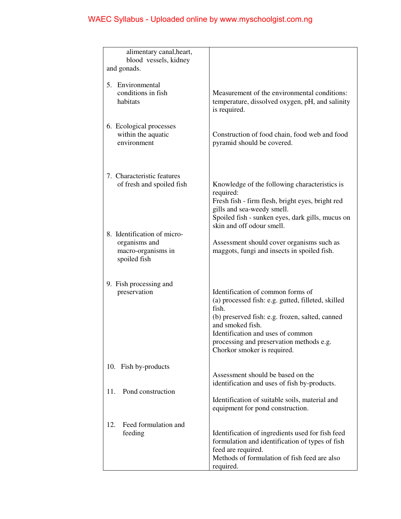| alimentary canal, heart,               |                                                    |
|----------------------------------------|----------------------------------------------------|
| blood vessels, kidney                  |                                                    |
| and gonads.                            |                                                    |
| 5. Environmental                       |                                                    |
| conditions in fish                     | Measurement of the environmental conditions:       |
| habitats                               | temperature, dissolved oxygen, pH, and salinity    |
|                                        | is required.                                       |
|                                        |                                                    |
| 6. Ecological processes                |                                                    |
| within the aquatic                     | Construction of food chain, food web and food      |
| environment                            | pyramid should be covered.                         |
|                                        |                                                    |
|                                        |                                                    |
|                                        |                                                    |
| 7. Characteristic features             |                                                    |
| of fresh and spoiled fish              | Knowledge of the following characteristics is      |
|                                        | required:                                          |
|                                        | Fresh fish - firm flesh, bright eyes, bright red   |
|                                        | gills and sea-weedy smell.                         |
|                                        | Spoiled fish - sunken eyes, dark gills, mucus on   |
|                                        | skin and off odour smell.                          |
| 8. Identification of micro-            |                                                    |
| organisms and                          | Assessment should cover organisms such as          |
| macro-organisms in                     | maggots, fungi and insects in spoiled fish.        |
| spoiled fish                           |                                                    |
|                                        |                                                    |
|                                        |                                                    |
| 9. Fish processing and<br>preservation | Identification of common forms of                  |
|                                        | (a) processed fish: e.g. gutted, filleted, skilled |
|                                        | fish.                                              |
|                                        | (b) preserved fish: e.g. frozen, salted, canned    |
|                                        | and smoked fish.                                   |
|                                        | Identification and uses of common                  |
|                                        | processing and preservation methods e.g.           |
|                                        | Chorkor smoker is required.                        |
|                                        |                                                    |
| 10. Fish by-products                   |                                                    |
|                                        | Assessment should be based on the                  |
|                                        | identification and uses of fish by-products.       |
| Pond construction<br>11.               |                                                    |
|                                        | Identification of suitable soils, material and     |
|                                        | equipment for pond construction.                   |
|                                        |                                                    |
| Feed formulation and<br>12.            |                                                    |
| feeding                                | Identification of ingredients used for fish feed   |
|                                        | formulation and identification of types of fish    |
|                                        | feed are required.                                 |
|                                        | Methods of formulation of fish feed are also       |
|                                        | required.                                          |